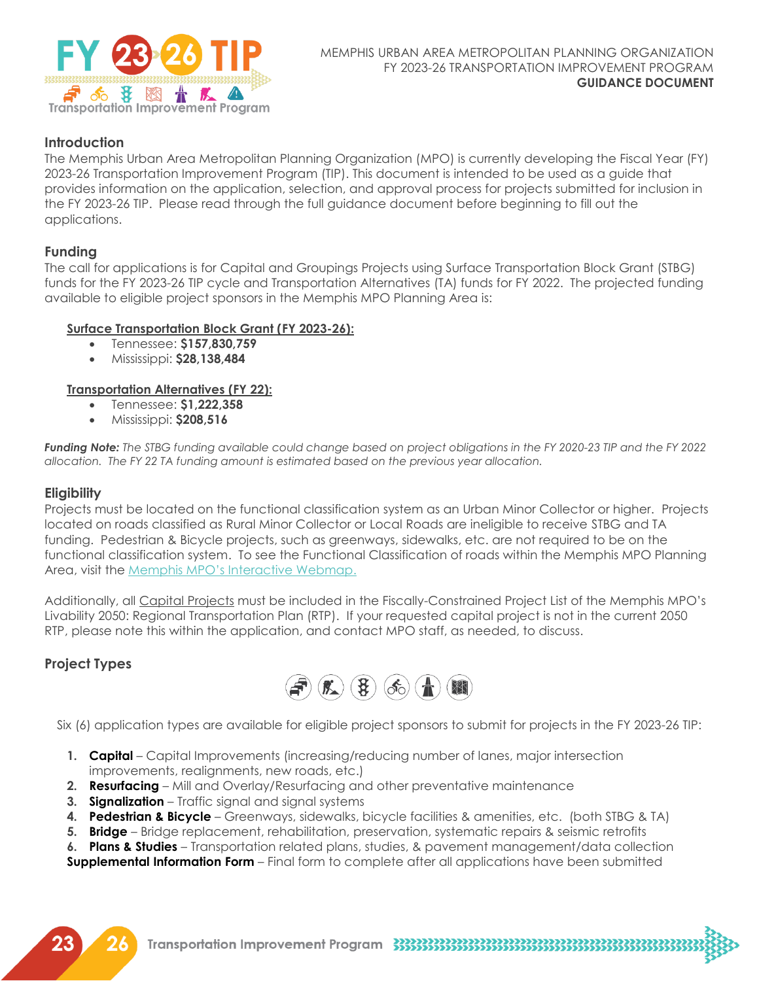

# **Introduction**

The Memphis Urban Area Metropolitan Planning Organization (MPO) is currently developing the Fiscal Year (FY) 2023-26 Transportation Improvement Program (TIP). This document is intended to be used as a guide that provides information on the application, selection, and approval process for projects submitted for inclusion in the FY 2023-26 TIP. Please read through the full guidance document before beginning to fill out the applications.

# **Funding**

The call for applications is for Capital and Groupings Projects using Surface Transportation Block Grant (STBG) funds for the FY 2023-26 TIP cycle and Transportation Alternatives (TA) funds for FY 2022. The projected funding available to eligible project sponsors in the Memphis MPO Planning Area is:

## **Surface Transportation Block Grant (FY 2023-26):**

- Tennessee: **\$157,830,759**
- Mississippi: **\$28,138,484**

## **Transportation Alternatives (FY 22):**

- Tennessee: **\$1,222,358**
- Mississippi: **\$208,516**

*Funding Note: The STBG funding available could change based on project obligations in the FY 2020-23 TIP and the FY 2022 allocation. The FY 22 TA funding amount is estimated based on the previous year allocation.*

## **Eligibility**

Projects must be located on the functional classification system as an Urban Minor Collector or higher. Projects located on roads classified as Rural Minor Collector or Local Roads are ineligible to receive STBG and TA funding. Pedestrian & Bicycle projects, such as greenways, sidewalks, etc. are not required to be on the functional classification system. To see the Functional Classification of roads within the Memphis MPO Planning Area, visit the Memphis MPO's [Interactive Webmap.](https://memphismpo.org/resources/maps) 

Additionally, all Capital Projects must be included in the Fiscally-Constrained Project List of the Memphis MPO's Livability 2050: Regional Transportation Plan (RTP). If your requested capital project is not in the current 2050 RTP, please note this within the application, and contact MPO staff, as needed, to discuss.

# **Project Types**



Six (6) application types are available for eligible project sponsors to submit for projects in the FY 2023-26 TIP:

- **1. Capital** Capital Improvements (increasing/reducing number of lanes, major intersection improvements, realignments, new roads, etc.)
- **2. Resurfacing** Mill and Overlay/Resurfacing and other preventative maintenance
- **3. Signalization** Traffic signal and signal systems
- **4. Pedestrian & Bicycle** Greenways, sidewalks, bicycle facilities & amenities, etc. (both STBG & TA)
- **5. Bridge** Bridge replacement, rehabilitation, preservation, systematic repairs & seismic retrofits

**6. Plans & Studies** – Transportation related plans, studies, & pavement management/data collection **Supplemental Information Form** – Final form to complete after all applications have been submitted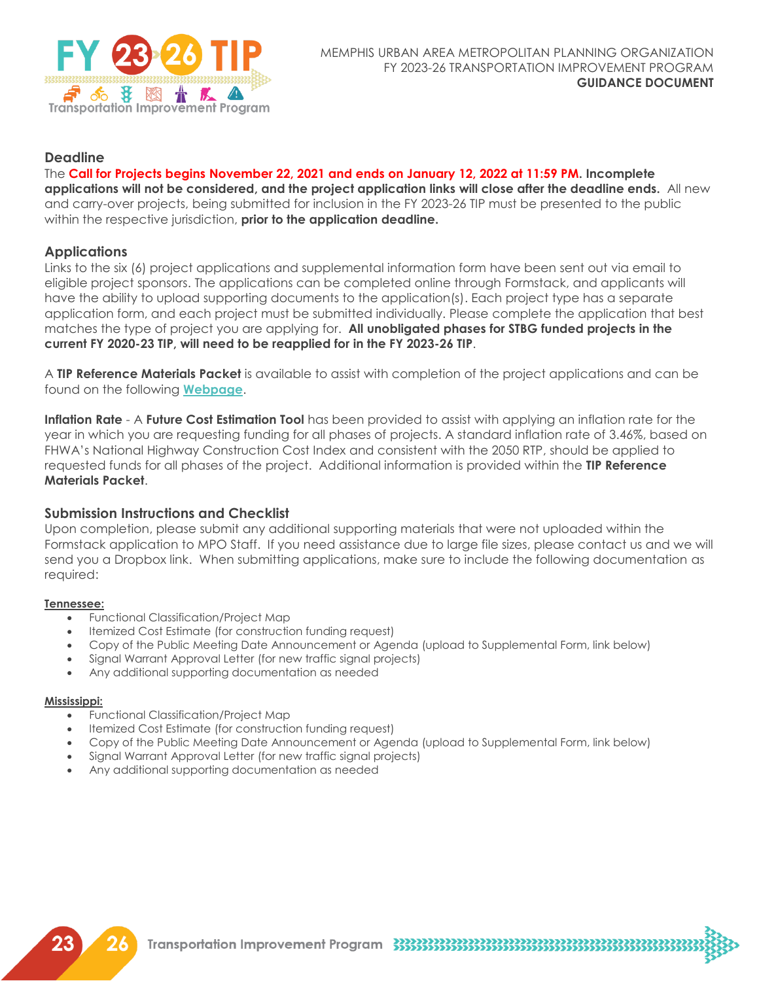

# **Deadline**

## The **Call for Projects begins November 22, 2021 and ends on January 12, 2022 at 11:59 PM. Incomplete**

**applications will not be considered, and the project application links will close after the deadline ends.** All new and carry-over projects, being submitted for inclusion in the FY 2023-26 TIP must be presented to the public within the respective jurisdiction, **prior to the application deadline.**

# **Applications**

Links to the six (6) project applications and supplemental information form have been sent out via email to eligible project sponsors. The applications can be completed online through Formstack, and applicants will have the ability to upload supporting documents to the application(s). Each project type has a separate application form, and each project must be submitted individually. Please complete the application that best matches the type of project you are applying for. **All unobligated phases for STBG funded projects in the current FY 2020-23 TIP, will need to be reapplied for in the FY 2023-26 TIP**.

A **TIP Reference Materials Packet** is available to assist with completion of the project applications and can be found on the following **[Webpage](https://memphismpo.org/plans/fy-2023-26-tip-dev)**.

**Inflation Rate** - A **Future Cost Estimation Tool** has been provided to assist with applying an inflation rate for the year in which you are requesting funding for all phases of projects. A standard inflation rate of 3.46%, based on FHWA's National Highway Construction Cost Index and consistent with the 2050 RTP, should be applied to requested funds for all phases of the project. Additional information is provided within the **TIP Reference Materials Packet**.

## **Submission Instructions and Checklist**

Upon completion, please submit any additional supporting materials that were not uploaded within the Formstack application to MPO Staff. If you need assistance due to large file sizes, please contact us and we will send you a Dropbox link. When submitting applications, make sure to include the following documentation as required:

#### **Tennessee:**

- Functional Classification/Project Map
- Itemized Cost Estimate (for construction funding request)
- Copy of the Public Meeting Date Announcement or Agenda (upload to Supplemental Form, link below)
- Signal Warrant Approval Letter (for new traffic signal projects)
- Any additional supporting documentation as needed

#### **Mississippi:**

- Functional Classification/Project Map
- Itemized Cost Estimate (for construction funding request)
- Copy of the Public Meeting Date Announcement or Agenda (upload to Supplemental Form, link below)

- Signal Warrant Approval Letter (for new traffic signal projects)
- Any additional supporting documentation as needed